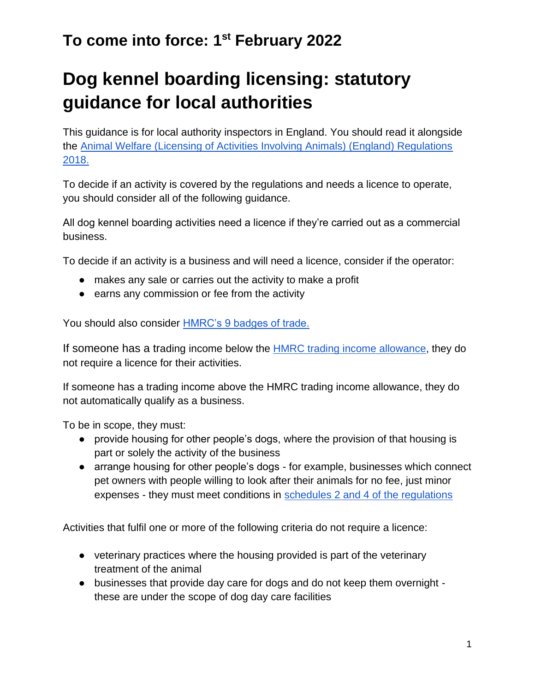# **Dog kennel boarding licensing: statutory guidance for local authorities**

This guidance is for local authority inspectors in England. You should read it alongside the [Animal Welfare \(Licensing of Activities Involving Animals\) \(England\) Regulations](https://www.legislation.gov.uk/uksi/2018/486/schedule/4/made)  [2018.](https://www.legislation.gov.uk/uksi/2018/486/schedule/4/made)

To decide if an activity is covered by the regulations and needs a licence to operate, you should consider all of the following guidance.

All dog kennel boarding activities need a licence if they're carried out as a commercial business.

To decide if an activity is a business and will need a licence, consider if the operator:

- makes any sale or carries out the activity to make a profit
- earns any commission or fee from the activity

You should also consider [HMRC's 9 badges of trade.](https://www.gov.uk/hmrc-internal-manuals/business-income-manual/bim20205)

If som[e](https://www.gov.uk/guidance/tax-free-allowances-on-property-and-trading-income#trade)one has a trading income below the **HMRC** trading income allowance, they do not require a licence for their activities.

If someone has a trading income above the HMRC trading income allowance, they do not automatically qualify as a business.

To be in scope, they must:

- provide housing for other people's dogs, where the provision of that housing is part or solely the activity of the business
- arrange housing for other people's dogs for example, businesses which connect pet owners with people willing to look after their animals for no fee, just minor expenses - they must meet conditions in [schedules 2 and 4 of the regulations](https://www.legislation.gov.uk/uksi/2018/486/schedule/2/made)

Activities that fulfil one or more of the following criteria do not require a licence:

- veterinary practices where the housing provided is part of the veterinary treatment of the animal
- businesses that provide day care for dogs and do not keep them overnight these are under the scope of dog day care facilities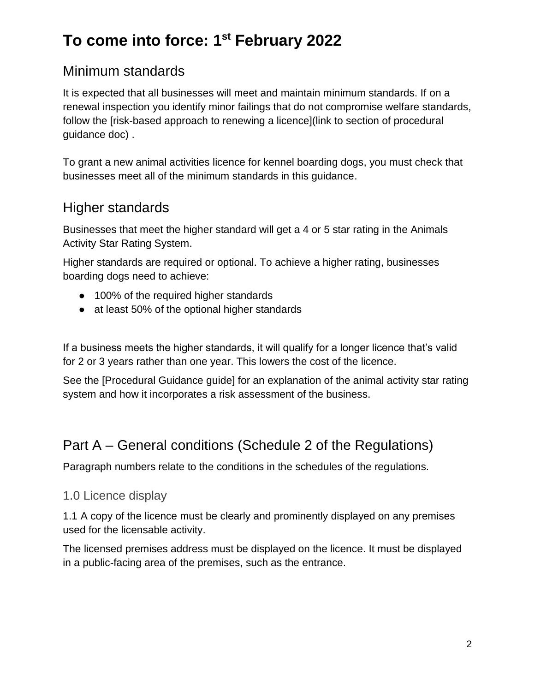### Minimum standards

It is expected that all businesses will meet and maintain minimum standards. If on a renewal inspection you identify minor failings that do not compromise welfare standards, follow the [risk-based approach to renewing a licence](link to section of procedural guidance doc) .

To grant a new animal activities licence for kennel boarding dogs, you must check that businesses meet all of the minimum standards in this guidance.

### Higher standards

Businesses that meet the higher standard will get a 4 or 5 star rating in the Animals Activity Star Rating System.

Higher standards are required or optional. To achieve a higher rating, businesses boarding dogs need to achieve:

- 100% of the required higher standards
- at least 50% of the optional higher standards

If a business meets the higher standards, it will qualify for a longer licence that's valid for 2 or 3 years rather than one year. This lowers the cost of the licence.

See the [Procedural Guidance guide] for an explanation of the animal activity star rating system and how it incorporates a risk assessment of the business.

### Part A – General conditions (Schedule 2 of the Regulations)

Paragraph numbers relate to the conditions in the schedules of the regulations.

#### 1.0 Licence display

1.1 A copy of the licence must be clearly and prominently displayed on any premises used for the licensable activity.

The licensed premises address must be displayed on the licence. It must be displayed in a public-facing area of the premises, such as the entrance.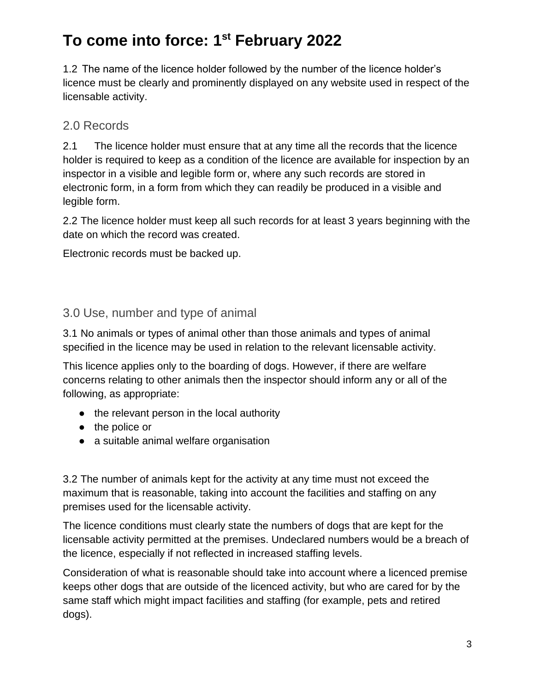1.2 The name of the licence holder followed by the number of the licence holder's licence must be clearly and prominently displayed on any website used in respect of the licensable activity.

#### 2.0 Records

2.1 The licence holder must ensure that at any time all the records that the licence holder is required to keep as a condition of the licence are available for inspection by an inspector in a visible and legible form or, where any such records are stored in electronic form, in a form from which they can readily be produced in a visible and legible form.

2.2 The licence holder must keep all such records for at least 3 years beginning with the date on which the record was created.

Electronic records must be backed up.

#### 3.0 Use, number and type of animal

3.1 No animals or types of animal other than those animals and types of animal specified in the licence may be used in relation to the relevant licensable activity.

This licence applies only to the boarding of dogs. However, if there are welfare concerns relating to other animals then the inspector should inform any or all of the following, as appropriate:

- the relevant person in the local authority
- the police or
- a suitable animal welfare organisation

3.2 The number of animals kept for the activity at any time must not exceed the maximum that is reasonable, taking into account the facilities and staffing on any premises used for the licensable activity.

The licence conditions must clearly state the numbers of dogs that are kept for the licensable activity permitted at the premises. Undeclared numbers would be a breach of the licence, especially if not reflected in increased staffing levels.

Consideration of what is reasonable should take into account where a licenced premise keeps other dogs that are outside of the licenced activity, but who are cared for by the same staff which might impact facilities and staffing (for example, pets and retired dogs).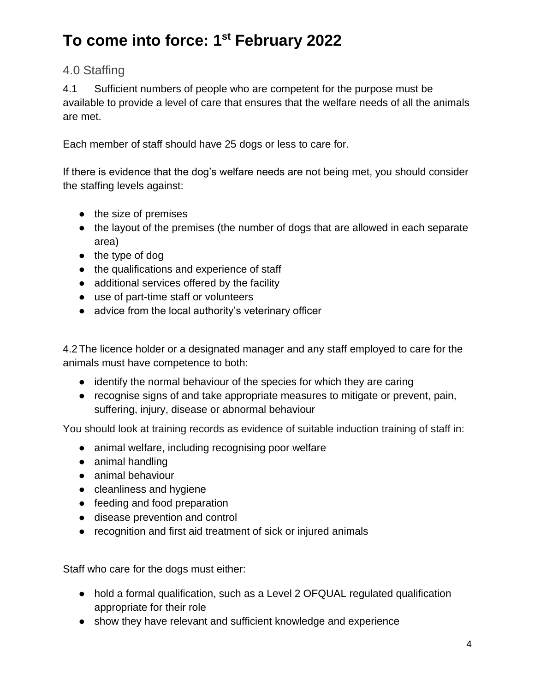#### 4.0 Staffing

4.1 Sufficient numbers of people who are competent for the purpose must be available to provide a level of care that ensures that the welfare needs of all the animals are met.

Each member of staff should have 25 dogs or less to care for.

If there is evidence that the dog's welfare needs are not being met, you should consider the staffing levels against:

- the size of premises
- the layout of the premises (the number of dogs that are allowed in each separate area)
- the type of dog
- the qualifications and experience of staff
- additional services offered by the facility
- use of part-time staff or volunteers
- advice from the local authority's veterinary officer

4.2 The licence holder or a designated manager and any staff employed to care for the animals must have competence to both:

- identify the normal behaviour of the species for which they are caring
- recognise signs of and take appropriate measures to mitigate or prevent, pain, suffering, injury, disease or abnormal behaviour

You should look at training records as evidence of suitable induction training of staff in:

- animal welfare, including recognising poor welfare
- animal handling
- animal behaviour
- cleanliness and hygiene
- feeding and food preparation
- disease prevention and control
- recognition and first aid treatment of sick or injured animals

Staff who care for the dogs must either:

- hold a formal qualification, such as a Level 2 OFQUAL regulated qualification appropriate for their role
- show they have relevant and sufficient knowledge and experience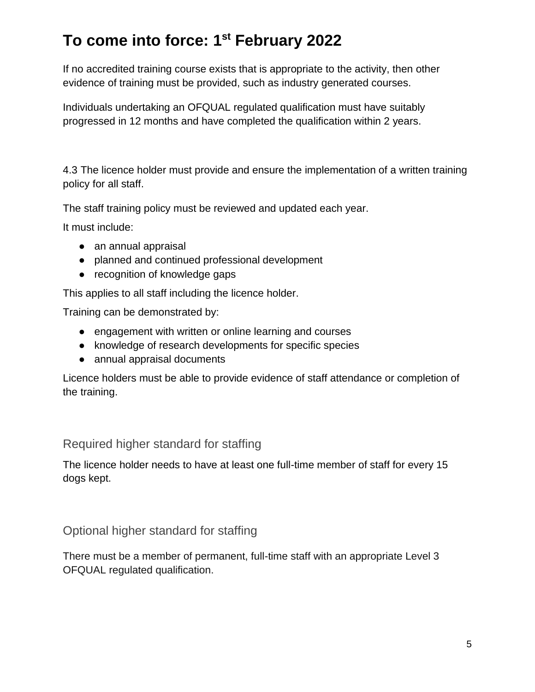If no accredited training course exists that is appropriate to the activity, then other evidence of training must be provided, such as industry generated courses.

Individuals undertaking an OFQUAL regulated qualification must have suitably progressed in 12 months and have completed the qualification within 2 years.

4.3 The licence holder must provide and ensure the implementation of a written training policy for all staff.

The staff training policy must be reviewed and updated each year.

It must include:

- an annual appraisal
- planned and continued professional development
- recognition of knowledge gaps

This applies to all staff including the licence holder.

Training can be demonstrated by:

- engagement with written or online learning and courses
- knowledge of research developments for specific species
- annual appraisal documents

Licence holders must be able to provide evidence of staff attendance or completion of the training.

#### Required higher standard for staffing

The licence holder needs to have at least one full-time member of staff for every 15 dogs kept.

#### Optional higher standard for staffing

There must be a member of permanent, full-time staff with an appropriate Level 3 OFQUAL regulated qualification.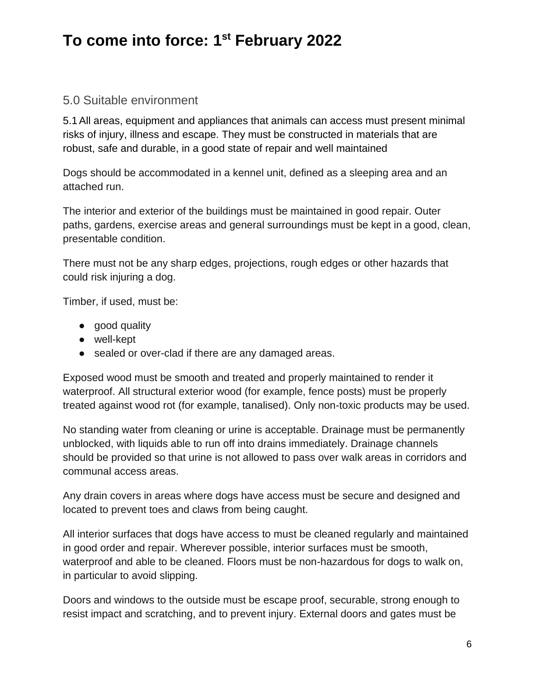#### 5.0 Suitable environment

5.1All areas, equipment and appliances that animals can access must present minimal risks of injury, illness and escape. They must be constructed in materials that are robust, safe and durable, in a good state of repair and well maintained

Dogs should be accommodated in a kennel unit, defined as a sleeping area and an attached run.

The interior and exterior of the buildings must be maintained in good repair. Outer paths, gardens, exercise areas and general surroundings must be kept in a good, clean, presentable condition.

There must not be any sharp edges, projections, rough edges or other hazards that could risk injuring a dog.

Timber, if used, must be:

- good quality
- well-kept
- sealed or over-clad if there are any damaged areas.

Exposed wood must be smooth and treated and properly maintained to render it waterproof. All structural exterior wood (for example, fence posts) must be properly treated against wood rot (for example, tanalised). Only non-toxic products may be used.

No standing water from cleaning or urine is acceptable. Drainage must be permanently unblocked, with liquids able to run off into drains immediately. Drainage channels should be provided so that urine is not allowed to pass over walk areas in corridors and communal access areas.

Any drain covers in areas where dogs have access must be secure and designed and located to prevent toes and claws from being caught.

All interior surfaces that dogs have access to must be cleaned regularly and maintained in good order and repair. Wherever possible, interior surfaces must be smooth, waterproof and able to be cleaned. Floors must be non-hazardous for dogs to walk on, in particular to avoid slipping.

Doors and windows to the outside must be escape proof, securable, strong enough to resist impact and scratching, and to prevent injury. External doors and gates must be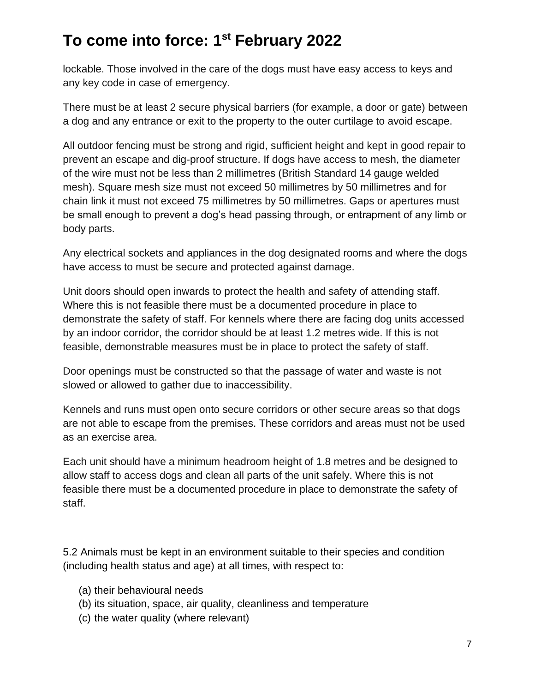lockable. Those involved in the care of the dogs must have easy access to keys and any key code in case of emergency.

There must be at least 2 secure physical barriers (for example, a door or gate) between a dog and any entrance or exit to the property to the outer curtilage to avoid escape.

All outdoor fencing must be strong and rigid, sufficient height and kept in good repair to prevent an escape and dig-proof structure. If dogs have access to mesh, the diameter of the wire must not be less than 2 millimetres (British Standard 14 gauge welded mesh). Square mesh size must not exceed 50 millimetres by 50 millimetres and for chain link it must not exceed 75 millimetres by 50 millimetres. Gaps or apertures must be small enough to prevent a dog's head passing through, or entrapment of any limb or body parts.

Any electrical sockets and appliances in the dog designated rooms and where the dogs have access to must be secure and protected against damage.

Unit doors should open inwards to protect the health and safety of attending staff. Where this is not feasible there must be a documented procedure in place to demonstrate the safety of staff. For kennels where there are facing dog units accessed by an indoor corridor, the corridor should be at least 1.2 metres wide. If this is not feasible, demonstrable measures must be in place to protect the safety of staff.

Door openings must be constructed so that the passage of water and waste is not slowed or allowed to gather due to inaccessibility.

Kennels and runs must open onto secure corridors or other secure areas so that dogs are not able to escape from the premises. These corridors and areas must not be used as an exercise area.

Each unit should have a minimum headroom height of 1.8 metres and be designed to allow staff to access dogs and clean all parts of the unit safely. Where this is not feasible there must be a documented procedure in place to demonstrate the safety of staff.

5.2 Animals must be kept in an environment suitable to their species and condition (including health status and age) at all times, with respect to:

- (a) their behavioural needs
- (b) its situation, space, air quality, cleanliness and temperature
- (c) the water quality (where relevant)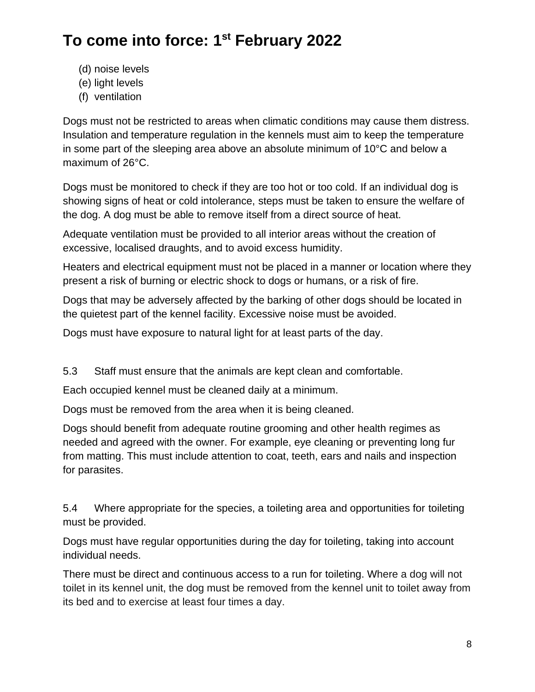- (d) noise levels
- (e) light levels
- (f) ventilation

Dogs must not be restricted to areas when climatic conditions may cause them distress. Insulation and temperature regulation in the kennels must aim to keep the temperature in some part of the sleeping area above an absolute minimum of 10°C and below a maximum of 26°C.

Dogs must be monitored to check if they are too hot or too cold. If an individual dog is showing signs of heat or cold intolerance, steps must be taken to ensure the welfare of the dog. A dog must be able to remove itself from a direct source of heat.

Adequate ventilation must be provided to all interior areas without the creation of excessive, localised draughts, and to avoid excess humidity.

Heaters and electrical equipment must not be placed in a manner or location where they present a risk of burning or electric shock to dogs or humans, or a risk of fire.

Dogs that may be adversely affected by the barking of other dogs should be located in the quietest part of the kennel facility. Excessive noise must be avoided.

Dogs must have exposure to natural light for at least parts of the day.

5.3 Staff must ensure that the animals are kept clean and comfortable.

Each occupied kennel must be cleaned daily at a minimum.

Dogs must be removed from the area when it is being cleaned.

Dogs should benefit from adequate routine grooming and other health regimes as needed and agreed with the owner. For example, eye cleaning or preventing long fur from matting. This must include attention to coat, teeth, ears and nails and inspection for parasites.

5.4 Where appropriate for the species, a toileting area and opportunities for toileting must be provided.

Dogs must have regular opportunities during the day for toileting, taking into account individual needs.

There must be direct and continuous access to a run for toileting. Where a dog will not toilet in its kennel unit, the dog must be removed from the kennel unit to toilet away from its bed and to exercise at least four times a day.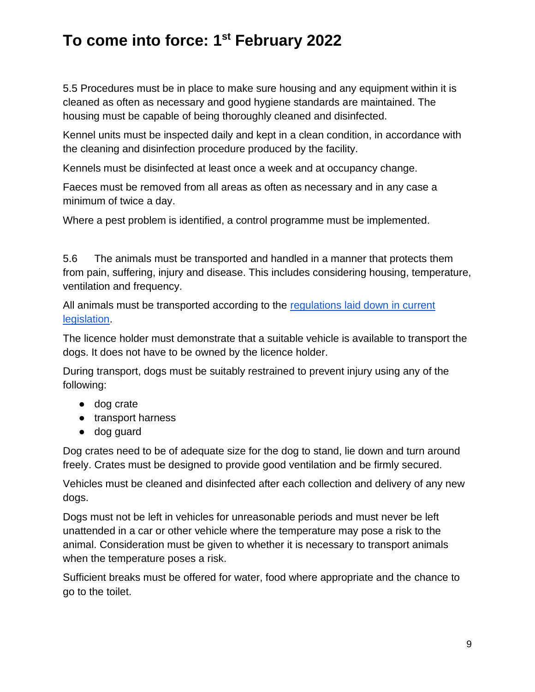5.5 Procedures must be in place to make sure housing and any equipment within it is cleaned as often as necessary and good hygiene standards are maintained. The housing must be capable of being thoroughly cleaned and disinfected.

Kennel units must be inspected daily and kept in a clean condition, in accordance with the cleaning and disinfection procedure produced by the facility.

Kennels must be disinfected at least once a week and at occupancy change.

Faeces must be removed from all areas as often as necessary and in any case a minimum of twice a day.

Where a pest problem is identified, a control programme must be implemented.

5.6 The animals must be transported and handled in a manner that protects them from pain, suffering, injury and disease. This includes considering housing, temperature, ventilation and frequency.

All animals must be transported according to the [regulations laid down in current](https://www.legislation.gov.uk/uksi/2006/3260/contents/made)  [legislation.](https://www.legislation.gov.uk/uksi/2006/3260/contents/made)

The licence holder must demonstrate that a suitable vehicle is available to transport the dogs. It does not have to be owned by the licence holder.

During transport, dogs must be suitably restrained to prevent injury using any of the following:

- dog crate
- transport harness
- dog guard

Dog crates need to be of adequate size for the dog to stand, lie down and turn around freely. Crates must be designed to provide good ventilation and be firmly secured.

Vehicles must be cleaned and disinfected after each collection and delivery of any new dogs.

Dogs must not be left in vehicles for unreasonable periods and must never be left unattended in a car or other vehicle where the temperature may pose a risk to the animal. Consideration must be given to whether it is necessary to transport animals when the temperature poses a risk.

Sufficient breaks must be offered for water, food where appropriate and the chance to go to the toilet.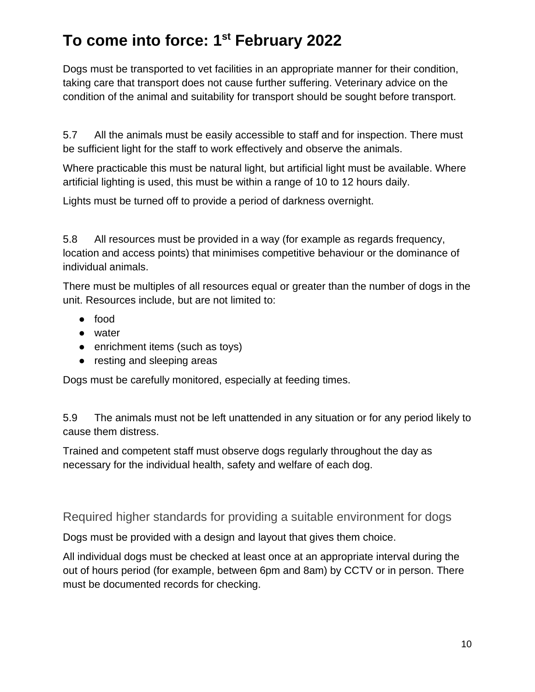Dogs must be transported to vet facilities in an appropriate manner for their condition, taking care that transport does not cause further suffering. Veterinary advice on the condition of the animal and suitability for transport should be sought before transport.

5.7 All the animals must be easily accessible to staff and for inspection. There must be sufficient light for the staff to work effectively and observe the animals.

Where practicable this must be natural light, but artificial light must be available. Where artificial lighting is used, this must be within a range of 10 to 12 hours daily.

Lights must be turned off to provide a period of darkness overnight.

5.8 All resources must be provided in a way (for example as regards frequency, location and access points) that minimises competitive behaviour or the dominance of individual animals.

There must be multiples of all resources equal or greater than the number of dogs in the unit. Resources include, but are not limited to:

- food
- water
- enrichment items (such as toys)
- resting and sleeping areas

Dogs must be carefully monitored, especially at feeding times.

5.9 The animals must not be left unattended in any situation or for any period likely to cause them distress.

Trained and competent staff must observe dogs regularly throughout the day as necessary for the individual health, safety and welfare of each dog.

Required higher standards for providing a suitable environment for dogs

Dogs must be provided with a design and layout that gives them choice.

All individual dogs must be checked at least once at an appropriate interval during the out of hours period (for example, between 6pm and 8am) by CCTV or in person. There must be documented records for checking.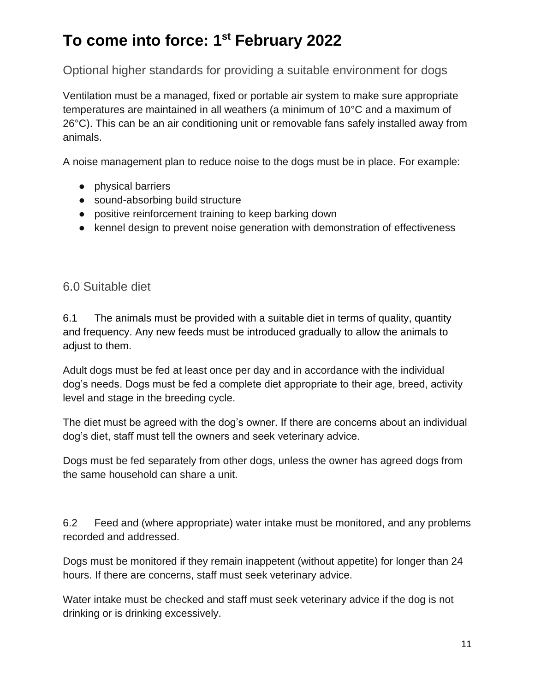Optional higher standards for providing a suitable environment for dogs

Ventilation must be a managed, fixed or portable air system to make sure appropriate temperatures are maintained in all weathers (a minimum of 10°C and a maximum of 26°C). This can be an air conditioning unit or removable fans safely installed away from animals.

A noise management plan to reduce noise to the dogs must be in place. For example:

- physical barriers
- sound-absorbing build structure
- positive reinforcement training to keep barking down
- kennel design to prevent noise generation with demonstration of effectiveness

6.0 Suitable diet

6.1 The animals must be provided with a suitable diet in terms of quality, quantity and frequency. Any new feeds must be introduced gradually to allow the animals to adjust to them.

Adult dogs must be fed at least once per day and in accordance with the individual dog's needs. Dogs must be fed a complete diet appropriate to their age, breed, activity level and stage in the breeding cycle.

The diet must be agreed with the dog's owner. If there are concerns about an individual dog's diet, staff must tell the owners and seek veterinary advice.

Dogs must be fed separately from other dogs, unless the owner has agreed dogs from the same household can share a unit.

6.2 Feed and (where appropriate) water intake must be monitored, and any problems recorded and addressed.

Dogs must be monitored if they remain inappetent (without appetite) for longer than 24 hours. If there are concerns, staff must seek veterinary advice.

Water intake must be checked and staff must seek veterinary advice if the dog is not drinking or is drinking excessively.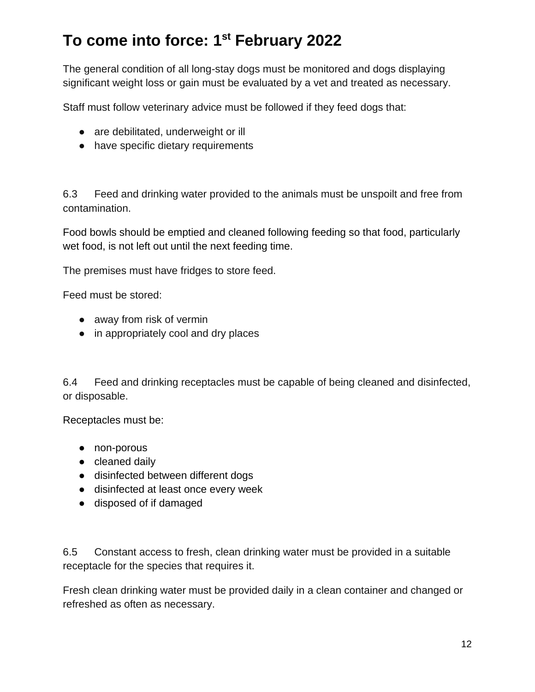The general condition of all long-stay dogs must be monitored and dogs displaying significant weight loss or gain must be evaluated by a vet and treated as necessary.

Staff must follow veterinary advice must be followed if they feed dogs that:

- are debilitated, underweight or ill
- have specific dietary requirements

6.3 Feed and drinking water provided to the animals must be unspoilt and free from contamination.

Food bowls should be emptied and cleaned following feeding so that food, particularly wet food, is not left out until the next feeding time.

The premises must have fridges to store feed.

Feed must be stored:

- away from risk of vermin
- in appropriately cool and dry places

6.4 Feed and drinking receptacles must be capable of being cleaned and disinfected, or disposable.

Receptacles must be:

- non-porous
- cleaned daily
- disinfected between different dogs
- disinfected at least once every week
- disposed of if damaged

6.5 Constant access to fresh, clean drinking water must be provided in a suitable receptacle for the species that requires it.

Fresh clean drinking water must be provided daily in a clean container and changed or refreshed as often as necessary.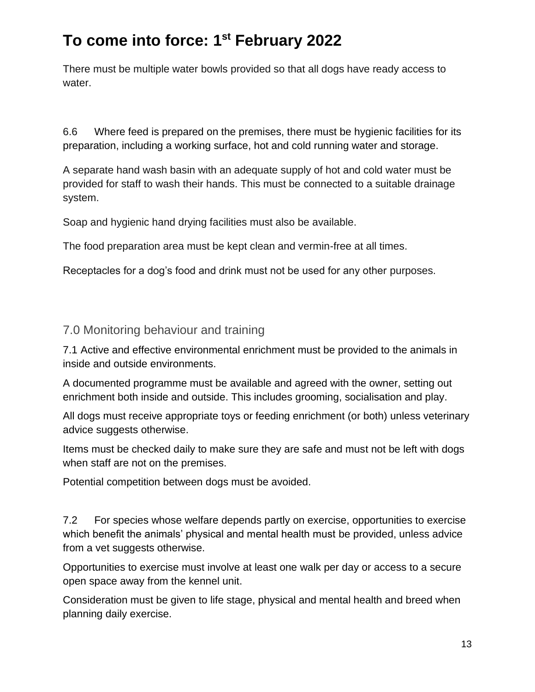There must be multiple water bowls provided so that all dogs have ready access to water.

6.6 Where feed is prepared on the premises, there must be hygienic facilities for its preparation, including a working surface, hot and cold running water and storage.

A separate hand wash basin with an adequate supply of hot and cold water must be provided for staff to wash their hands. This must be connected to a suitable drainage system.

Soap and hygienic hand drying facilities must also be available.

The food preparation area must be kept clean and vermin-free at all times.

Receptacles for a dog's food and drink must not be used for any other purposes.

#### 7.0 Monitoring behaviour and training

7.1 Active and effective environmental enrichment must be provided to the animals in inside and outside environments.

A documented programme must be available and agreed with the owner, setting out enrichment both inside and outside. This includes grooming, socialisation and play.

All dogs must receive appropriate toys or feeding enrichment (or both) unless veterinary advice suggests otherwise.

Items must be checked daily to make sure they are safe and must not be left with dogs when staff are not on the premises.

Potential competition between dogs must be avoided.

7.2 For species whose welfare depends partly on exercise, opportunities to exercise which benefit the animals' physical and mental health must be provided, unless advice from a vet suggests otherwise.

Opportunities to exercise must involve at least one walk per day or access to a secure open space away from the kennel unit.

Consideration must be given to life stage, physical and mental health and breed when planning daily exercise.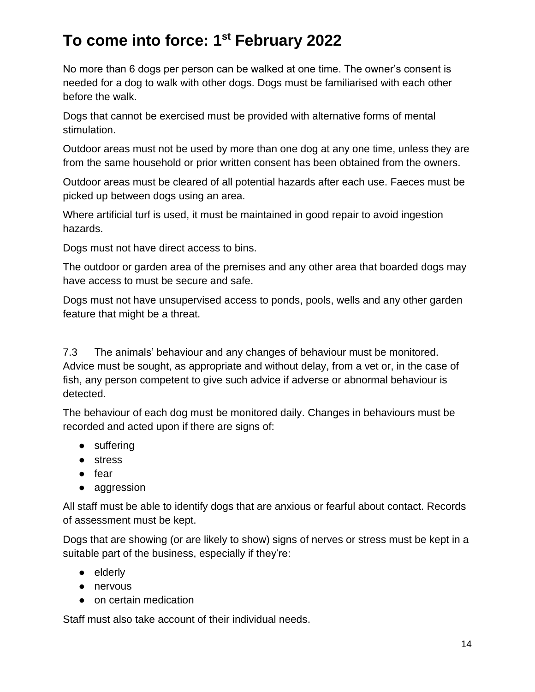No more than 6 dogs per person can be walked at one time. The owner's consent is needed for a dog to walk with other dogs. Dogs must be familiarised with each other before the walk.

Dogs that cannot be exercised must be provided with alternative forms of mental stimulation.

Outdoor areas must not be used by more than one dog at any one time, unless they are from the same household or prior written consent has been obtained from the owners.

Outdoor areas must be cleared of all potential hazards after each use. Faeces must be picked up between dogs using an area.

Where artificial turf is used, it must be maintained in good repair to avoid ingestion hazards.

Dogs must not have direct access to bins.

The outdoor or garden area of the premises and any other area that boarded dogs may have access to must be secure and safe.

Dogs must not have unsupervised access to ponds, pools, wells and any other garden feature that might be a threat.

7.3 The animals' behaviour and any changes of behaviour must be monitored. Advice must be sought, as appropriate and without delay, from a vet or, in the case of fish, any person competent to give such advice if adverse or abnormal behaviour is detected.

The behaviour of each dog must be monitored daily. Changes in behaviours must be recorded and acted upon if there are signs of:

- suffering
- stress
- fear
- aggression

All staff must be able to identify dogs that are anxious or fearful about contact. Records of assessment must be kept.

Dogs that are showing (or are likely to show) signs of nerves or stress must be kept in a suitable part of the business, especially if they're:

- elderly
- nervous
- on certain medication

Staff must also take account of their individual needs.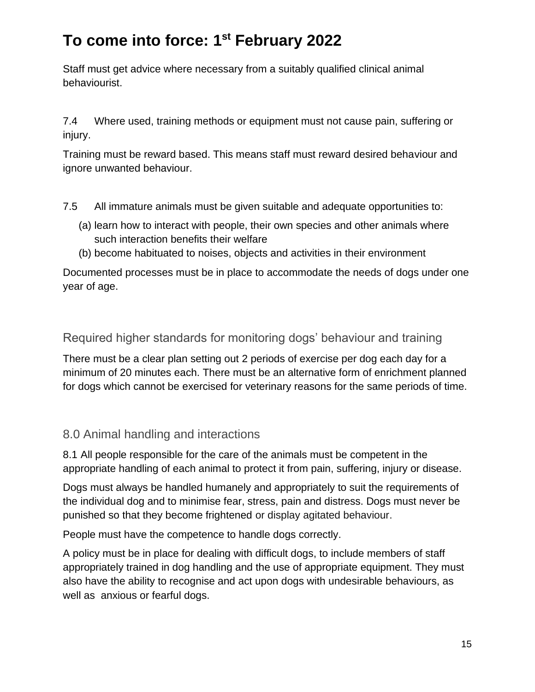Staff must get advice where necessary from a suitably qualified clinical animal behaviourist.

7.4 Where used, training methods or equipment must not cause pain, suffering or injury.

Training must be reward based. This means staff must reward desired behaviour and ignore unwanted behaviour.

- 7.5 All immature animals must be given suitable and adequate opportunities to:
	- (a) learn how to interact with people, their own species and other animals where such interaction benefits their welfare
	- (b) become habituated to noises, objects and activities in their environment

Documented processes must be in place to accommodate the needs of dogs under one year of age.

Required higher standards for monitoring dogs' behaviour and training

There must be a clear plan setting out 2 periods of exercise per dog each day for a minimum of 20 minutes each. There must be an alternative form of enrichment planned for dogs which cannot be exercised for veterinary reasons for the same periods of time.

#### 8.0 Animal handling and interactions

8.1 All people responsible for the care of the animals must be competent in the appropriate handling of each animal to protect it from pain, suffering, injury or disease.

Dogs must always be handled humanely and appropriately to suit the requirements of the individual dog and to minimise fear, stress, pain and distress. Dogs must never be punished so that they become frightened or display agitated behaviour.

People must have the competence to handle dogs correctly.

A policy must be in place for dealing with difficult dogs, to include members of staff appropriately trained in dog handling and the use of appropriate equipment. They must also have the ability to recognise and act upon dogs with undesirable behaviours, as well as anxious or fearful dogs.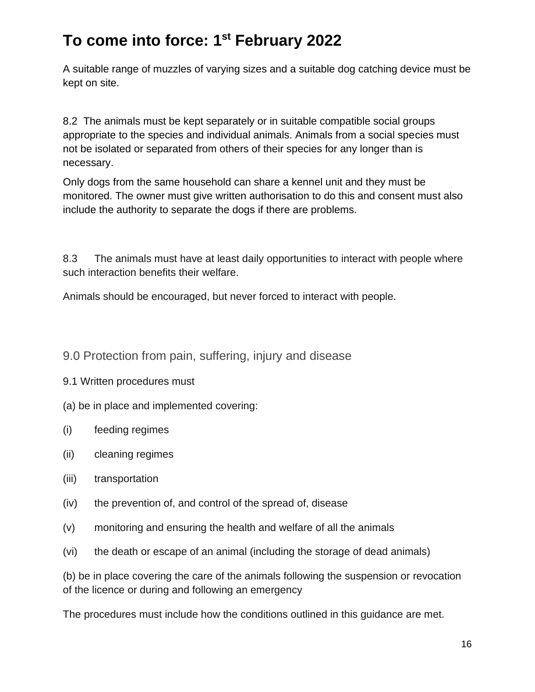A suitable range of muzzles of varying sizes and a suitable dog catching device must be kept on site.

8.2 The animals must be kept separately or in suitable compatible social groups appropriate to the species and individual animals. Animals from a social species must not be isolated or separated from others of their species for any longer than is necessary.

Only dogs from the same household can share a kennel unit and they must be monitored. The owner must give written authorisation to do this and consent must also include the authority to separate the dogs if there are problems.

8.3 The animals must have at least daily opportunities to interact with people where such interaction benefits their welfare.

Animals should be encouraged, but never forced to interact with people.

#### 9.0 Protection from pain, suffering, injury and disease

#### 9.1 Written procedures must

- (a) be in place and implemented covering:
- (i) feeding regimes
- (ii) cleaning regimes
- (iii) transportation
- (iv) the prevention of, and control of the spread of, disease
- (v) monitoring and ensuring the health and welfare of all the animals
- (vi) the death or escape of an animal (including the storage of dead animals)

(b) be in place covering the care of the animals following the suspension or revocation of the licence or during and following an emergency

The procedures must include how the conditions outlined in this guidance are met.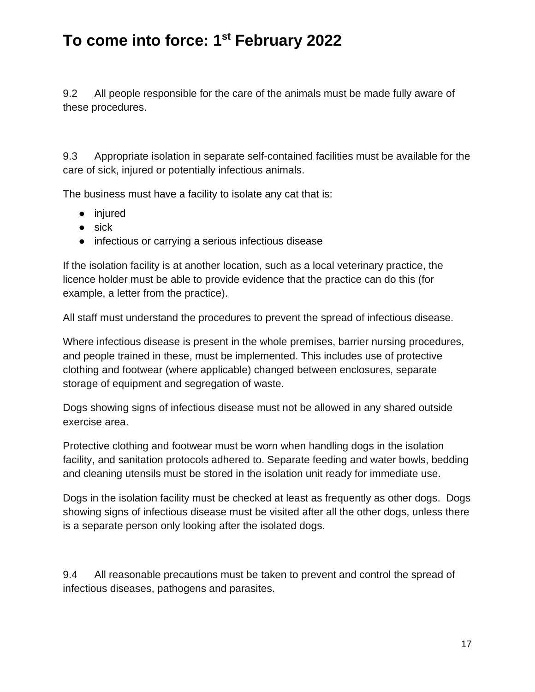9.2 All people responsible for the care of the animals must be made fully aware of these procedures.

9.3 Appropriate isolation in separate self-contained facilities must be available for the care of sick, injured or potentially infectious animals.

The business must have a facility to isolate any cat that is:

- injured
- $\bullet$  sick
- infectious or carrying a serious infectious disease

If the isolation facility is at another location, such as a local veterinary practice, the licence holder must be able to provide evidence that the practice can do this (for example, a letter from the practice).

All staff must understand the procedures to prevent the spread of infectious disease.

Where infectious disease is present in the whole premises, barrier nursing procedures, and people trained in these, must be implemented. This includes use of protective clothing and footwear (where applicable) changed between enclosures, separate storage of equipment and segregation of waste.

Dogs showing signs of infectious disease must not be allowed in any shared outside exercise area.

Protective clothing and footwear must be worn when handling dogs in the isolation facility, and sanitation protocols adhered to. Separate feeding and water bowls, bedding and cleaning utensils must be stored in the isolation unit ready for immediate use.

Dogs in the isolation facility must be checked at least as frequently as other dogs. Dogs showing signs of infectious disease must be visited after all the other dogs, unless there is a separate person only looking after the isolated dogs.

9.4 All reasonable precautions must be taken to prevent and control the spread of infectious diseases, pathogens and parasites.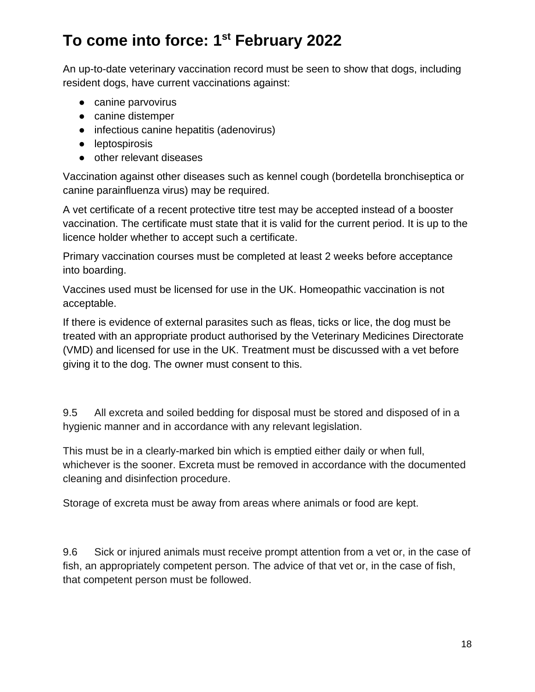An up-to-date veterinary vaccination record must be seen to show that dogs, including resident dogs, have current vaccinations against:

- canine parvovirus
- canine distemper
- infectious canine hepatitis (adenovirus)
- leptospirosis
- other relevant diseases

Vaccination against other diseases such as kennel cough (bordetella bronchiseptica or canine parainfluenza virus) may be required.

A vet certificate of a recent protective titre test may be accepted instead of a booster vaccination. The certificate must state that it is valid for the current period. It is up to the licence holder whether to accept such a certificate.

Primary vaccination courses must be completed at least 2 weeks before acceptance into boarding.

Vaccines used must be licensed for use in the UK. Homeopathic vaccination is not acceptable.

If there is evidence of external parasites such as fleas, ticks or lice, the dog must be treated with an appropriate product authorised by the Veterinary Medicines Directorate (VMD) and licensed for use in the UK. Treatment must be discussed with a vet before giving it to the dog. The owner must consent to this.

9.5 All excreta and soiled bedding for disposal must be stored and disposed of in a hygienic manner and in accordance with any relevant legislation.

This must be in a clearly-marked bin which is emptied either daily or when full, whichever is the sooner. Excreta must be removed in accordance with the documented cleaning and disinfection procedure.

Storage of excreta must be away from areas where animals or food are kept.

9.6 Sick or injured animals must receive prompt attention from a vet or, in the case of fish, an appropriately competent person. The advice of that vet or, in the case of fish, that competent person must be followed.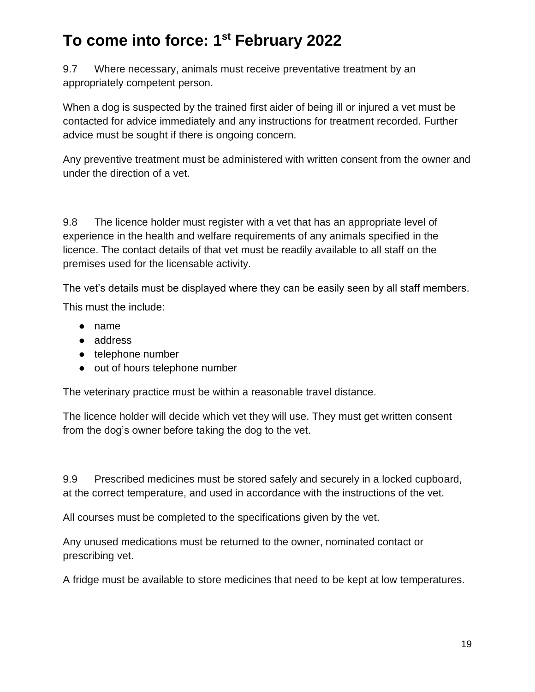9.7 Where necessary, animals must receive preventative treatment by an appropriately competent person.

When a dog is suspected by the trained first aider of being ill or injured a vet must be contacted for advice immediately and any instructions for treatment recorded. Further advice must be sought if there is ongoing concern.

Any preventive treatment must be administered with written consent from the owner and under the direction of a vet.

9.8 The licence holder must register with a vet that has an appropriate level of experience in the health and welfare requirements of any animals specified in the licence. The contact details of that vet must be readily available to all staff on the premises used for the licensable activity.

The vet's details must be displayed where they can be easily seen by all staff members. This must the include:

- name
- address
- telephone number
- out of hours telephone number

The veterinary practice must be within a reasonable travel distance.

The licence holder will decide which vet they will use. They must get written consent from the dog's owner before taking the dog to the vet.

9.9 Prescribed medicines must be stored safely and securely in a locked cupboard, at the correct temperature, and used in accordance with the instructions of the vet.

All courses must be completed to the specifications given by the vet.

Any unused medications must be returned to the owner, nominated contact or prescribing vet.

A fridge must be available to store medicines that need to be kept at low temperatures.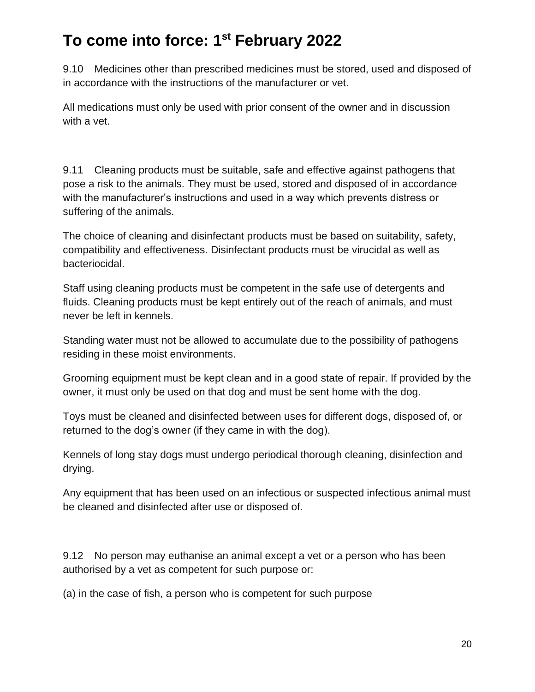9.10 Medicines other than prescribed medicines must be stored, used and disposed of in accordance with the instructions of the manufacturer or vet.

All medications must only be used with prior consent of the owner and in discussion with a vet.

9.11 Cleaning products must be suitable, safe and effective against pathogens that pose a risk to the animals. They must be used, stored and disposed of in accordance with the manufacturer's instructions and used in a way which prevents distress or suffering of the animals.

The choice of cleaning and disinfectant products must be based on suitability, safety, compatibility and effectiveness. Disinfectant products must be virucidal as well as bacteriocidal.

Staff using cleaning products must be competent in the safe use of detergents and fluids. Cleaning products must be kept entirely out of the reach of animals, and must never be left in kennels.

Standing water must not be allowed to accumulate due to the possibility of pathogens residing in these moist environments.

Grooming equipment must be kept clean and in a good state of repair. If provided by the owner, it must only be used on that dog and must be sent home with the dog.

Toys must be cleaned and disinfected between uses for different dogs, disposed of, or returned to the dog's owner (if they came in with the dog).

Kennels of long stay dogs must undergo periodical thorough cleaning, disinfection and drying.

Any equipment that has been used on an infectious or suspected infectious animal must be cleaned and disinfected after use or disposed of.

9.12 No person may euthanise an animal except a vet or a person who has been authorised by a vet as competent for such purpose or:

(a) in the case of fish, a person who is competent for such purpose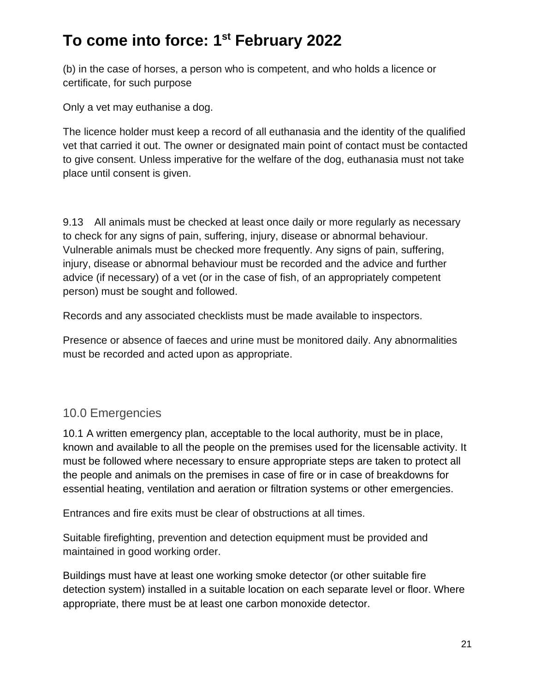(b) in the case of horses, a person who is competent, and who holds a licence or certificate, for such purpose

Only a vet may euthanise a dog.

The licence holder must keep a record of all euthanasia and the identity of the qualified vet that carried it out. The owner or designated main point of contact must be contacted to give consent. Unless imperative for the welfare of the dog, euthanasia must not take place until consent is given.

9.13 All animals must be checked at least once daily or more regularly as necessary to check for any signs of pain, suffering, injury, disease or abnormal behaviour. Vulnerable animals must be checked more frequently. Any signs of pain, suffering, injury, disease or abnormal behaviour must be recorded and the advice and further advice (if necessary) of a vet (or in the case of fish, of an appropriately competent person) must be sought and followed.

Records and any associated checklists must be made available to inspectors.

Presence or absence of faeces and urine must be monitored daily. Any abnormalities must be recorded and acted upon as appropriate.

#### 10.0 Emergencies

10.1 A written emergency plan, acceptable to the local authority, must be in place, known and available to all the people on the premises used for the licensable activity. It must be followed where necessary to ensure appropriate steps are taken to protect all the people and animals on the premises in case of fire or in case of breakdowns for essential heating, ventilation and aeration or filtration systems or other emergencies.

Entrances and fire exits must be clear of obstructions at all times.

Suitable firefighting, prevention and detection equipment must be provided and maintained in good working order.

Buildings must have at least one working smoke detector (or other suitable fire detection system) installed in a suitable location on each separate level or floor. Where appropriate, there must be at least one carbon monoxide detector.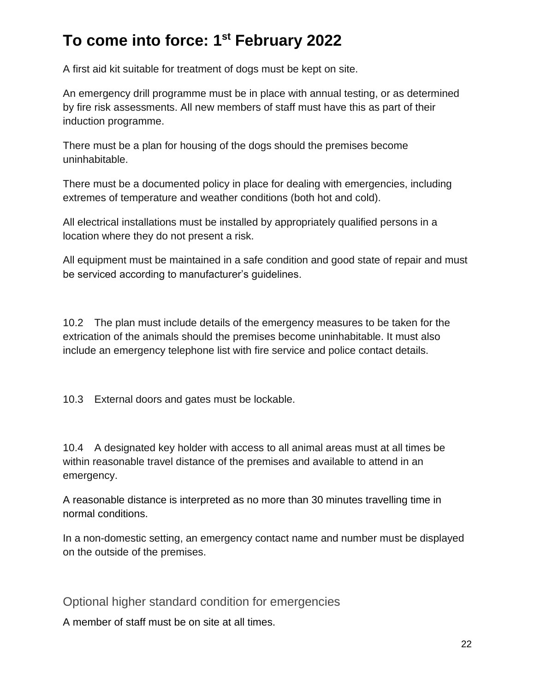A first aid kit suitable for treatment of dogs must be kept on site.

An emergency drill programme must be in place with annual testing, or as determined by fire risk assessments. All new members of staff must have this as part of their induction programme.

There must be a plan for housing of the dogs should the premises become uninhabitable.

There must be a documented policy in place for dealing with emergencies, including extremes of temperature and weather conditions (both hot and cold).

All electrical installations must be installed by appropriately qualified persons in a location where they do not present a risk.

All equipment must be maintained in a safe condition and good state of repair and must be serviced according to manufacturer's guidelines.

10.2 The plan must include details of the emergency measures to be taken for the extrication of the animals should the premises become uninhabitable. It must also include an emergency telephone list with fire service and police contact details.

10.3 External doors and gates must be lockable.

10.4 A designated key holder with access to all animal areas must at all times be within reasonable travel distance of the premises and available to attend in an emergency.

A reasonable distance is interpreted as no more than 30 minutes travelling time in normal conditions.

In a non-domestic setting, an emergency contact name and number must be displayed on the outside of the premises.

Optional higher standard condition for emergencies

A member of staff must be on site at all times.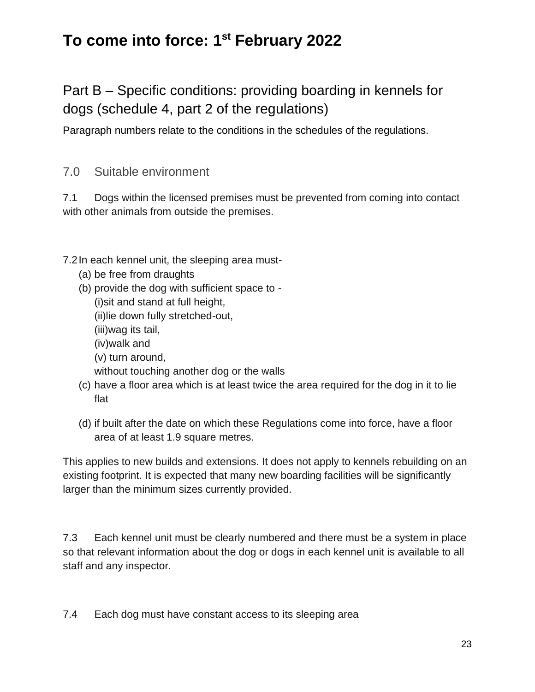Part B – Specific conditions: providing boarding in kennels for dogs (schedule 4, part 2 of the regulations)

Paragraph numbers relate to the conditions in the schedules of the regulations.

7.0 Suitable environment

7.1 Dogs within the licensed premises must be prevented from coming into contact with other animals from outside the premises.

7.2In each kennel unit, the sleeping area must-

- (a) be free from draughts
- (b) provide the dog with sufficient space to -

(i)sit and stand at full height,

(ii)lie down fully stretched-out,

(iii)wag its tail,

(iv)walk and

(v) turn around,

without touching another dog or the walls

- (c) have a floor area which is at least twice the area required for the dog in it to lie flat
- (d) if built after the date on which these Regulations come into force, have a floor area of at least 1.9 square metres.

This applies to new builds and extensions. It does not apply to kennels rebuilding on an existing footprint. It is expected that many new boarding facilities will be significantly larger than the minimum sizes currently provided.

7.3 Each kennel unit must be clearly numbered and there must be a system in place so that relevant information about the dog or dogs in each kennel unit is available to all staff and any inspector.

7.4 Each dog must have constant access to its sleeping area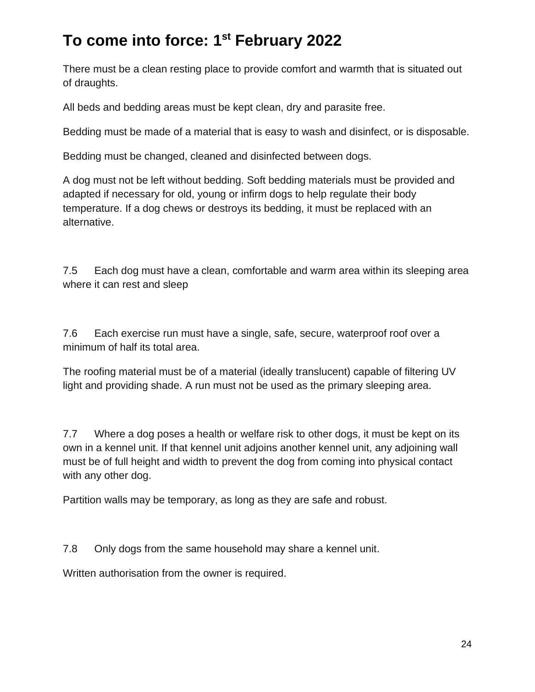There must be a clean resting place to provide comfort and warmth that is situated out of draughts.

All beds and bedding areas must be kept clean, dry and parasite free.

Bedding must be made of a material that is easy to wash and disinfect, or is disposable.

Bedding must be changed, cleaned and disinfected between dogs.

A dog must not be left without bedding. Soft bedding materials must be provided and adapted if necessary for old, young or infirm dogs to help regulate their body temperature. If a dog chews or destroys its bedding, it must be replaced with an alternative.

7.5 Each dog must have a clean, comfortable and warm area within its sleeping area where it can rest and sleep

7.6 Each exercise run must have a single, safe, secure, waterproof roof over a minimum of half its total area.

The roofing material must be of a material (ideally translucent) capable of filtering UV light and providing shade. A run must not be used as the primary sleeping area.

7.7 Where a dog poses a health or welfare risk to other dogs, it must be kept on its own in a kennel unit. If that kennel unit adjoins another kennel unit, any adjoining wall must be of full height and width to prevent the dog from coming into physical contact with any other dog.

Partition walls may be temporary, as long as they are safe and robust.

7.8 Only dogs from the same household may share a kennel unit.

Written authorisation from the owner is required.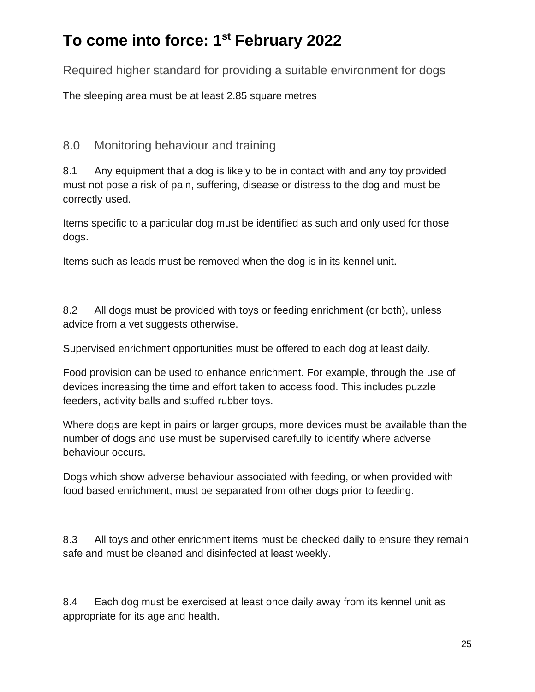Required higher standard for providing a suitable environment for dogs

The sleeping area must be at least 2.85 square metres

#### 8.0 Monitoring behaviour and training

8.1 Any equipment that a dog is likely to be in contact with and any toy provided must not pose a risk of pain, suffering, disease or distress to the dog and must be correctly used.

Items specific to a particular dog must be identified as such and only used for those dogs.

Items such as leads must be removed when the dog is in its kennel unit.

8.2 All dogs must be provided with toys or feeding enrichment (or both), unless advice from a vet suggests otherwise.

Supervised enrichment opportunities must be offered to each dog at least daily.

Food provision can be used to enhance enrichment. For example, through the use of devices increasing the time and effort taken to access food. This includes puzzle feeders, activity balls and stuffed rubber toys.

Where dogs are kept in pairs or larger groups, more devices must be available than the number of dogs and use must be supervised carefully to identify where adverse behaviour occurs.

Dogs which show adverse behaviour associated with feeding, or when provided with food based enrichment, must be separated from other dogs prior to feeding.

8.3 All toys and other enrichment items must be checked daily to ensure they remain safe and must be cleaned and disinfected at least weekly.

8.4 Each dog must be exercised at least once daily away from its kennel unit as appropriate for its age and health.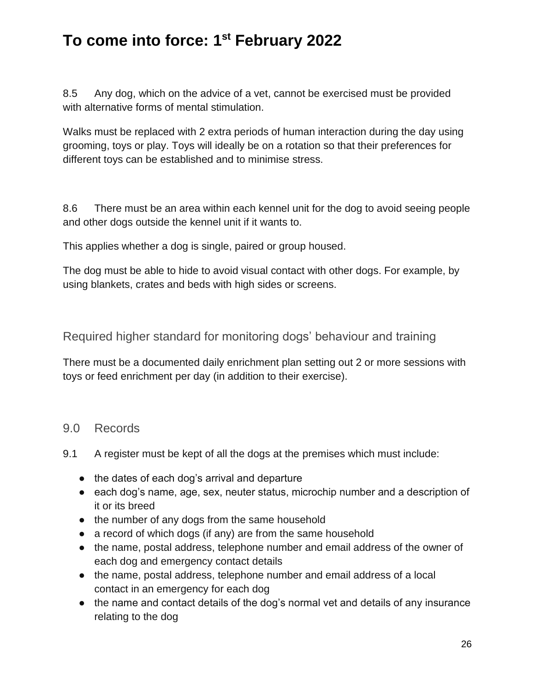8.5 Any dog, which on the advice of a vet, cannot be exercised must be provided with alternative forms of mental stimulation.

Walks must be replaced with 2 extra periods of human interaction during the day using grooming, toys or play. Toys will ideally be on a rotation so that their preferences for different toys can be established and to minimise stress.

8.6 There must be an area within each kennel unit for the dog to avoid seeing people and other dogs outside the kennel unit if it wants to.

This applies whether a dog is single, paired or group housed.

The dog must be able to hide to avoid visual contact with other dogs. For example, by using blankets, crates and beds with high sides or screens.

Required higher standard for monitoring dogs' behaviour and training

There must be a documented daily enrichment plan setting out 2 or more sessions with toys or feed enrichment per day (in addition to their exercise).

#### 9.0 Records

- 9.1 A register must be kept of all the dogs at the premises which must include:
	- the dates of each dog's arrival and departure
	- each dog's name, age, sex, neuter status, microchip number and a description of it or its breed
	- the number of any dogs from the same household
	- a record of which dogs (if any) are from the same household
	- the name, postal address, telephone number and email address of the owner of each dog and emergency contact details
	- the name, postal address, telephone number and email address of a local contact in an emergency for each dog
	- the name and contact details of the dog's normal vet and details of any insurance relating to the dog